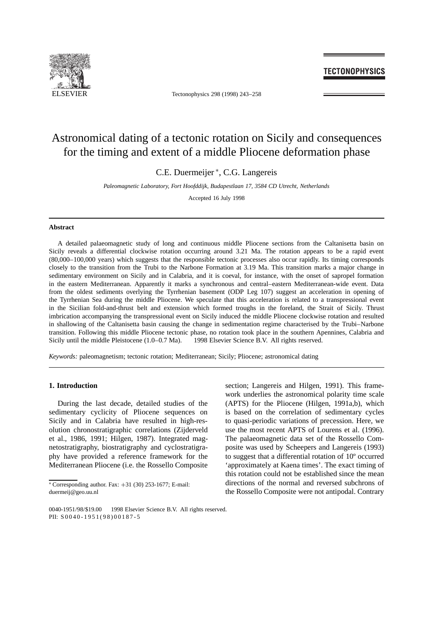

ELSEVIER Tectonophysics 298 (1998) 243-258

### **TECTONOPHYSICS**

## Astronomical dating of a tectonic rotation on Sicily and consequences for the timing and extent of a middle Pliocene deformation phase

C.E. Duermeijer \*, C.G. Langereis

*Paleomagnetic Laboratory, Fort Hoofddijk, Budapestlaan 17, 3584 CD Utrecht, Netherlands*

Accepted 16 July 1998

#### **Abstract**

A detailed palaeomagnetic study of long and continuous middle Pliocene sections from the Caltanisetta basin on Sicily reveals a differential clockwise rotation occurring around 3.21 Ma. The rotation appears to be a rapid event (80,000–100,000 years) which suggests that the responsible tectonic processes also occur rapidly. Its timing corresponds closely to the transition from the Trubi to the Narbone Formation at 3.19 Ma. This transition marks a major change in sedimentary environment on Sicily and in Calabria, and it is coeval, for instance, with the onset of sapropel formation in the eastern Mediterranean. Apparently it marks a synchronous and central–eastern Mediterranean-wide event. Data from the oldest sediments overlying the Tyrrhenian basement (ODP Leg 107) suggest an acceleration in opening of the Tyrrhenian Sea during the middle Pliocene. We speculate that this acceleration is related to a transpressional event in the Sicilian fold-and-thrust belt and extension which formed troughs in the foreland, the Strait of Sicily. Thrust imbrication accompanying the transpressional event on Sicily induced the middle Pliocene clockwise rotation and resulted in shallowing of the Caltanisetta basin causing the change in sedimentation regime characterised by the Trubi–Narbone transition. Following this middle Pliocene tectonic phase, no rotation took place in the southern Apennines, Calabria and Sicily until the middle Pleistocene (1.0–0.7 Ma).  $\circledcirc$  1998 Elsevier Science B.V. All rights reserved.

*Keywords:* paleomagnetism; tectonic rotation; Mediterranean; Sicily; Pliocene; astronomical dating

#### **1. Introduction**

During the last decade, detailed studies of the sedimentary cyclicity of Pliocene sequences on Sicily and in Calabria have resulted in high-resolution chronostratigraphic correlations (Zijderveld et al., 1986, 1991; Hilgen, 1987). Integrated magnetostratigraphy, biostratigraphy and cyclostratigraphy have provided a reference framework for the Mediterranean Pliocene (i.e. the Rossello Composite section; Langereis and Hilgen, 1991). This framework underlies the astronomical polarity time scale (APTS) for the Pliocene (Hilgen, 1991a,b), which is based on the correlation of sedimentary cycles to quasi-periodic variations of precession. Here, we use the most recent APTS of Lourens et al. (1996). The palaeomagnetic data set of the Rossello Composite was used by Scheepers and Langereis (1993) to suggest that a differential rotation of 10º occurred 'approximately at Kaena times'. The exact timing of this rotation could not be established since the mean directions of the normal and reversed subchrons of the Rossello Composite were not antipodal. Contrary

 $*$  Corresponding author. Fax:  $+31$  (30) 253-1677; E-mail: duermeij@geo.uu.nl

<sup>0040-1951/98/\$19.00 © 1998</sup> Elsevier Science B.V. All rights reserved. PII:  $S0040 - 1951(98)00187 - 5$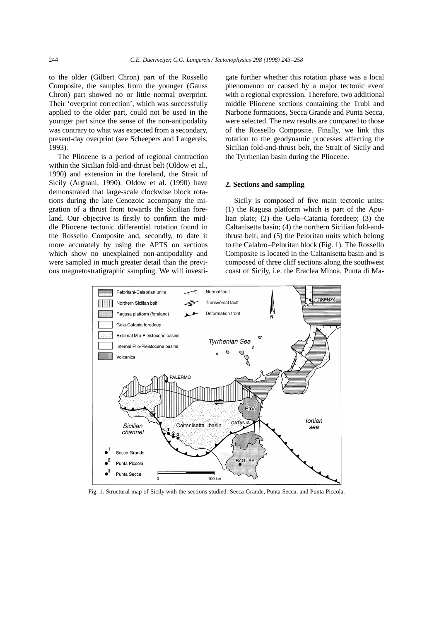to the older (Gilbert Chron) part of the Rossello Composite, the samples from the younger (Gauss Chron) part showed no or little normal overprint. Their 'overprint correction', which was successfully applied to the older part, could not be used in the younger part since the sense of the non-antipodality was contrary to what was expected from a secondary, present-day overprint (see Scheepers and Langereis, 1993).

The Pliocene is a period of regional contraction within the Sicilian fold-and-thrust belt (Oldow et al., 1990) and extension in the foreland, the Strait of Sicily (Argnani, 1990). Oldow et al. (1990) have demonstrated that large-scale clockwise block rotations during the late Cenozoic accompany the migration of a thrust front towards the Sicilian foreland. Our objective is firstly to confirm the middle Pliocene tectonic differential rotation found in the Rossello Composite and, secondly, to date it more accurately by using the APTS on sections which show no unexplained non-antipodality and were sampled in much greater detail than the previous magnetostratigraphic sampling. We will investigate further whether this rotation phase was a local phenomenon or caused by a major tectonic event with a regional expression. Therefore, two additional middle Pliocene sections containing the Trubi and Narbone formations, Secca Grande and Punta Secca, were selected. The new results are compared to those of the Rossello Composite. Finally, we link this rotation to the geodynamic processes affecting the Sicilian fold-and-thrust belt, the Strait of Sicily and the Tyrrhenian basin during the Pliocene.

#### **2. Sections and sampling**

Sicily is composed of five main tectonic units: (1) the Ragusa platform which is part of the Apulian plate; (2) the Gela–Catania foredeep; (3) the Caltanisetta basin; (4) the northern Sicilian fold-andthrust belt; and (5) the Peloritan units which belong to the Calabro–Peloritan block (Fig. 1). The Rossello Composite is located in the Caltanisetta basin and is composed of three cliff sections along the southwest coast of Sicily, i.e. the Eraclea Minoa, Punta di Ma-



Fig. 1. Structural map of Sicily with the sections studied: Secca Grande, Punta Secca, and Punta Piccola.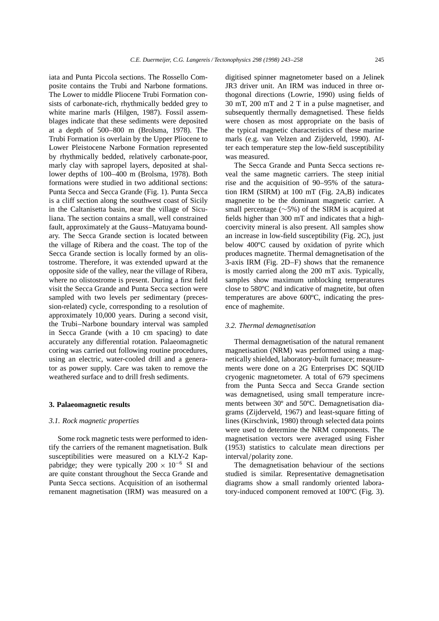iata and Punta Piccola sections. The Rossello Composite contains the Trubi and Narbone formations. The Lower to middle Pliocene Trubi Formation consists of carbonate-rich, rhythmically bedded grey to white marine marls (Hilgen, 1987). Fossil assemblages indicate that these sediments were deposited at a depth of 500–800 m (Brolsma, 1978). The Trubi Formation is overlain by the Upper Pliocene to Lower Pleistocene Narbone Formation represented by rhythmically bedded, relatively carbonate-poor, marly clay with sapropel layers, deposited at shallower depths of 100–400 m (Brolsma, 1978). Both formations were studied in two additional sections: Punta Secca and Secca Grande (Fig. 1). Punta Secca is a cliff section along the southwest coast of Sicily in the Caltanisetta basin, near the village of Siculiana. The section contains a small, well constrained fault, approximately at the Gauss–Matuyama boundary. The Secca Grande section is located between the village of Ribera and the coast. The top of the Secca Grande section is locally formed by an olistostrome. Therefore, it was extended upward at the opposite side of the valley, near the village of Ribera, where no olistostrome is present. During a first field visit the Secca Grande and Punta Secca section were sampled with two levels per sedimentary (precession-related) cycle, corresponding to a resolution of approximately 10,000 years. During a second visit, the Trubi–Narbone boundary interval was sampled in Secca Grande (with a 10 cm spacing) to date accurately any differential rotation. Palaeomagnetic coring was carried out following routine procedures, using an electric, water-cooled drill and a generator as power supply. Care was taken to remove the weathered surface and to drill fresh sediments.

#### **3. Palaeomagnetic results**

#### *3.1. Rock magnetic properties*

Some rock magnetic tests were performed to identify the carriers of the remanent magnetisation. Bulk susceptibilities were measured on a KLY-2 Kappabridge; they were typically  $200 \times 10^{-6}$  SI and are quite constant throughout the Secca Grande and Punta Secca sections. Acquisition of an isothermal remanent magnetisation (IRM) was measured on a digitised spinner magnetometer based on a Jelinek JR3 driver unit. An IRM was induced in three orthogonal directions (Lowrie, 1990) using fields of 30 mT, 200 mT and 2 T in a pulse magnetiser, and subsequently thermally demagnetised. These fields were chosen as most appropriate on the basis of the typical magnetic characteristics of these marine marls (e.g. van Velzen and Zijderveld, 1990). After each temperature step the low-field susceptibility was measured.

The Secca Grande and Punta Secca sections reveal the same magnetic carriers. The steep initial rise and the acquisition of 90–95% of the saturation IRM (SIRM) at 100 mT (Fig. 2A,B) indicates magnetite to be the dominant magnetic carrier. A small percentage  $(\sim 5\%)$  of the SIRM is acquired at fields higher than 300 mT and indicates that a highcoercivity mineral is also present. All samples show an increase in low-field susceptibility (Fig. 2C), just below 400ºC caused by oxidation of pyrite which produces magnetite. Thermal demagnetisation of the 3-axis IRM (Fig. 2D–F) shows that the remanence is mostly carried along the 200 mT axis. Typically, samples show maximum unblocking temperatures close to 580ºC and indicative of magnetite, but often temperatures are above 600ºC, indicating the presence of maghemite.

#### *3.2. Thermal demagnetisation*

Thermal demagnetisation of the natural remanent magnetisation (NRM) was performed using a magnetically shielded, laboratory-built furnace; measurements were done on a 2G Enterprises DC SQUID cryogenic magnetometer. A total of 679 specimens from the Punta Secca and Secca Grande section was demagnetised, using small temperature increments between 30º and 50ºC. Demagnetisation diagrams (Zijderveld, 1967) and least-square fitting of lines (Kirschvink, 1980) through selected data points were used to determine the NRM components. The magnetisation vectors were averaged using Fisher (1953) statistics to calculate mean directions per interval/polarity zone.

The demagnetisation behaviour of the sections studied is similar. Representative demagnetisation diagrams show a small randomly oriented laboratory-induced component removed at 100ºC (Fig. 3).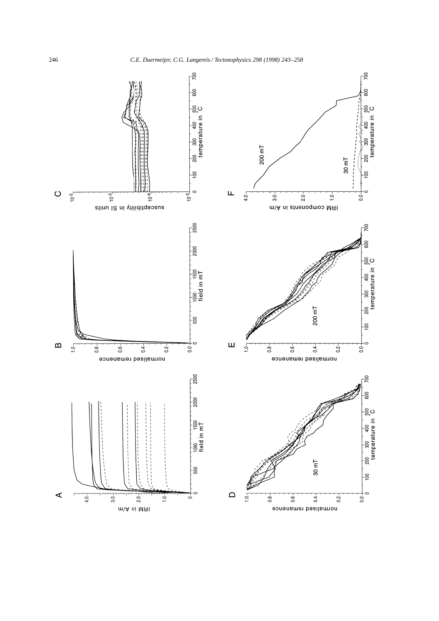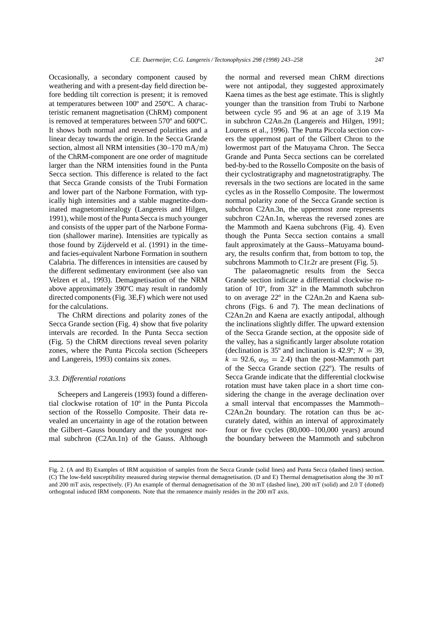*C.E. Duermeijer, C.G. Langereis / Tectonophysics 298 (1998) 243–258* 247

Occasionally, a secondary component caused by weathering and with a present-day field direction before bedding tilt correction is present; it is removed at temperatures between 100º and 250ºC. A characteristic remanent magnetisation (ChRM) component is removed at temperatures between 570º and 600ºC. It shows both normal and reversed polarities and a linear decay towards the origin. In the Secca Grande section, almost all NRM intensities  $(30-170 \text{ mA/m})$ of the ChRM-component are one order of magnitude larger than the NRM intensities found in the Punta Secca section. This difference is related to the fact that Secca Grande consists of the Trubi Formation and lower part of the Narbone Formation, with typically high intensities and a stable magnetite-dominated magnetomineralogy (Langereis and Hilgen, 1991), while most of the Punta Secca is much younger and consists of the upper part of the Narbone Formation (shallower marine). Intensities are typically as those found by Zijderveld et al. (1991) in the timeand facies-equivalent Narbone Formation in southern Calabria. The differences in intensities are caused by the different sedimentary environment (see also van Velzen et al., 1993). Demagnetisation of the NRM above approximately 390ºC may result in randomly directed components (Fig. 3E,F) which were not used for the calculations.

The ChRM directions and polarity zones of the Secca Grande section (Fig. 4) show that five polarity intervals are recorded. In the Punta Secca section (Fig. 5) the ChRM directions reveal seven polarity zones, where the Punta Piccola section (Scheepers and Langereis, 1993) contains six zones.

#### *3.3. Differential rotations*

Scheepers and Langereis (1993) found a differential clockwise rotation of 10º in the Punta Piccola section of the Rossello Composite. Their data revealed an uncertainty in age of the rotation between the Gilbert–Gauss boundary and the youngest normal subchron (C2An.1n) of the Gauss. Although the normal and reversed mean ChRM directions were not antipodal, they suggested approximately Kaena times as the best age estimate. This is slightly younger than the transition from Trubi to Narbone between cycle 95 and 96 at an age of 3.19 Ma in subchron C2An.2n (Langereis and Hilgen, 1991; Lourens et al., 1996). The Punta Piccola section covers the uppermost part of the Gilbert Chron to the lowermost part of the Matuyama Chron. The Secca Grande and Punta Secca sections can be correlated bed-by-bed to the Rossello Composite on the basis of their cyclostratigraphy and magnetostratigraphy. The reversals in the two sections are located in the same cycles as in the Rossello Composite. The lowermost normal polarity zone of the Secca Grande section is subchron C2An.3n, the uppermost zone represents subchron C2An.1n, whereas the reversed zones are the Mammoth and Kaena subchrons (Fig. 4). Even though the Punta Secca section contains a small fault approximately at the Gauss–Matuyama boundary, the results confirm that, from bottom to top, the subchrons Mammoth to C1r.2r are present (Fig. 5).

The palaeomagnetic results from the Secca Grande section indicate a differential clockwise rotation of 10º, from 32º in the Mammoth subchron to on average 22º in the C2An.2n and Kaena subchrons (Figs. 6 and 7). The mean declinations of C2An.2n and Kaena are exactly antipodal, although the inclinations slightly differ. The upward extension of the Secca Grande section, at the opposite side of the valley, has a significantly larger absolute rotation (declination is 35 $^{\circ}$  and inclination is 42.9 $^{\circ}$ ; *N* = 39,  $k = 92.6$ ,  $\alpha_{95} = 2.4$ ) than the post-Mammoth part of the Secca Grande section (22º). The results of Secca Grande indicate that the differential clockwise rotation must have taken place in a short time considering the change in the average declination over a small interval that encompasses the Mammoth– C2An.2n boundary. The rotation can thus be accurately dated, within an interval of approximately four or five cycles (80,000–100,000 years) around the boundary between the Mammoth and subchron

Fig. 2. (A and B) Examples of IRM acquisition of samples from the Secca Grande (solid lines) and Punta Secca (dashed lines) section. (C) The low-field susceptibility measured during stepwise thermal demagnetisation. (D and E) Thermal demagnetisation along the 30 mT and 200 mT axis, respectively. (F) An example of thermal demagnetisation of the 30 mT (dashed line), 200 mT (solid) and 2.0 T (dotted) orthogonal induced IRM components. Note that the remanence mainly resides in the 200 mT axis.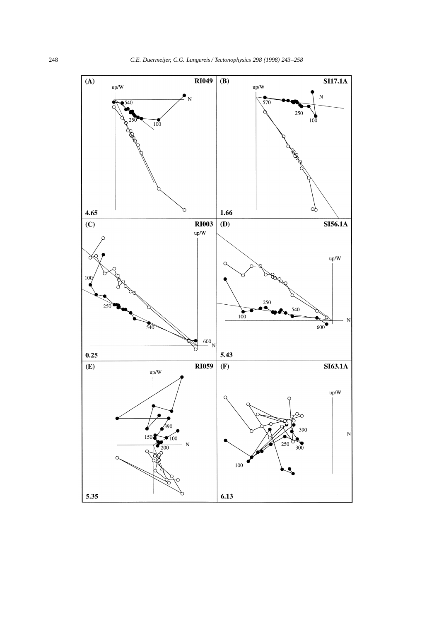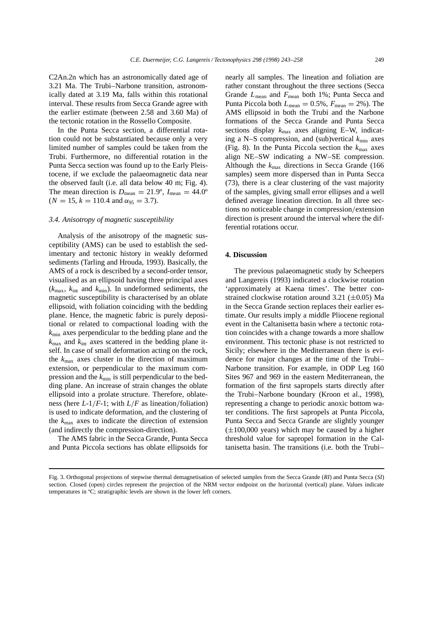C2An.2n which has an astronomically dated age of 3.21 Ma. The Trubi–Narbone transition, astronomically dated at 3.19 Ma, falls within this rotational interval. These results from Secca Grande agree with the earlier estimate (between 2.58 and 3.60 Ma) of the tectonic rotation in the Rossello Composite.

In the Punta Secca section, a differential rotation could not be substantiated because only a very limited number of samples could be taken from the Trubi. Furthermore, no differential rotation in the Punta Secca section was found up to the Early Pleistocene, if we exclude the palaeomagnetic data near the observed fault (i.e. all data below 40 m; Fig. 4). The mean direction is  $D_{\text{mean}} = 21.9^{\circ}$ ,  $I_{\text{mean}} = 44.0^{\circ}$  $(N = 15, k = 110.4 \text{ and } \alpha_{95} = 3.7).$ 

#### *3.4. Anisotropy of magnetic susceptibility*

Analysis of the anisotropy of the magnetic susceptibility (AMS) can be used to establish the sedimentary and tectonic history in weakly deformed sediments (Tarling and Hrouda, 1993). Basically, the AMS of a rock is described by a second-order tensor, visualised as an ellipsoid having three principal axes  $(k_{\text{max}}, k_{\text{int}})$  and  $k_{\text{min}}$ ). In undeformed sediments, the magnetic susceptibility is characterised by an oblate ellipsoid, with foliation coinciding with the bedding plane. Hence, the magnetic fabric is purely depositional or related to compactional loading with the *k*min axes perpendicular to the bedding plane and the  $k_{\text{max}}$  and  $k_{\text{int}}$  axes scattered in the bedding plane itself. In case of small deformation acting on the rock, the *k*max axes cluster in the direction of maximum extension, or perpendicular to the maximum compression and the  $k_{\text{min}}$  is still perpendicular to the bedding plane. An increase of strain changes the oblate ellipsoid into a prolate structure. Therefore, oblateness (here  $L-1/F-1$ ; with  $L/F$  as lineation/foliation) is used to indicate deformation, and the clustering of the  $k_{\text{max}}$  axes to indicate the direction of extension (and indirectly the compression-direction).

The AMS fabric in the Secca Grande, Punta Secca and Punta Piccola sections has oblate ellipsoids for

nearly all samples. The lineation and foliation are rather constant throughout the three sections (Secca Grande  $L_{\text{mean}}$  and  $F_{\text{mean}}$  both 1%; Punta Secca and Punta Piccola both  $L_{\text{mean}} = 0.5\%$ ,  $F_{\text{mean}} = 2\%$ ). The AMS ellipsoid in both the Trubi and the Narbone formations of the Secca Grande and Punta Secca sections display  $k_{\text{max}}$  axes aligning E–W, indicating a N–S compression, and (sub)vertical  $k_{\text{min}}$  axes (Fig. 8). In the Punta Piccola section the  $k_{\text{max}}$  axes align NE–SW indicating a NW–SE compression. Although the  $k_{\text{max}}$  directions in Secca Grande (166) samples) seem more dispersed than in Punta Secca (73), there is a clear clustering of the vast majority of the samples, giving small error ellipses and a well defined average lineation direction. In all three sections no noticeable change in compression/extension direction is present around the interval where the differential rotations occur.

#### **4. Discussion**

The previous palaeomagnetic study by Scheepers and Langereis (1993) indicated a clockwise rotation 'approximately at Kaena times'. The better constrained clockwise rotation around  $3.21$  ( $\pm 0.05$ ) Ma in the Secca Grande section replaces their earlier estimate. Our results imply a middle Pliocene regional event in the Caltanisetta basin where a tectonic rotation coincides with a change towards a more shallow environment. This tectonic phase is not restricted to Sicily; elsewhere in the Mediterranean there is evidence for major changes at the time of the Trubi– Narbone transition. For example, in ODP Leg 160 Sites 967 and 969 in the eastern Mediterranean, the formation of the first sapropels starts directly after the Trubi–Narbone boundary (Kroon et al., 1998), representing a change to periodic anoxic bottom water conditions. The first sapropels at Punta Piccola, Punta Secca and Secca Grande are slightly younger  $(\pm 100,000$  years) which may be caused by a higher threshold value for sapropel formation in the Caltanisetta basin. The transitions (i.e. both the Trubi–

Fig. 3. Orthogonal projections of stepwise thermal demagnetisation of selected samples from the Secca Grande (*RI*) and Punta Secca (*SI*) section. Closed (open) circles represent the projection of the NRM vector endpoint on the horizontal (vertical) plane. Values indicate temperatures in ºC; stratigraphic levels are shown in the lower left corners.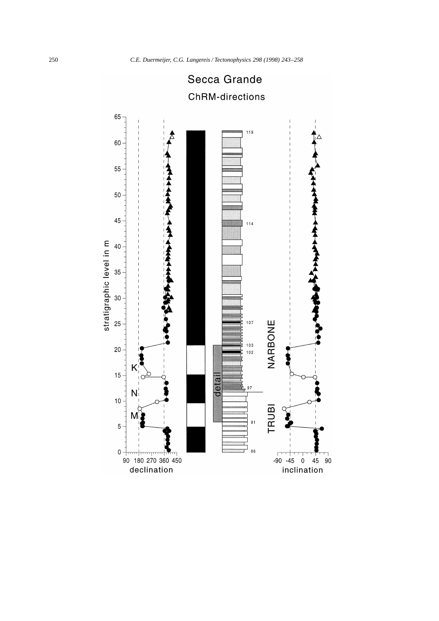

# Secca Grande **ChRM-directions**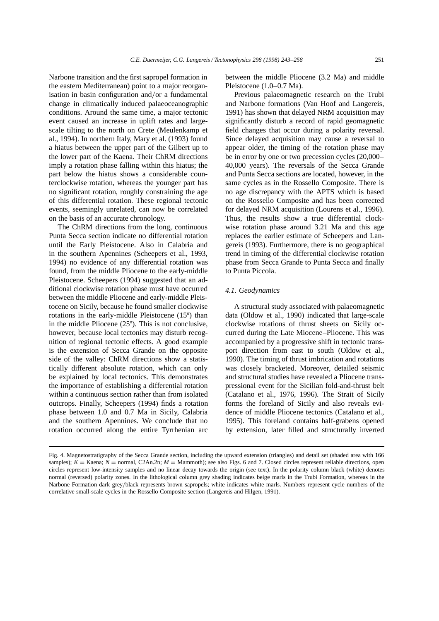Narbone transition and the first sapropel formation in the eastern Mediterranean) point to a major reorganisation in basin configuration and/or a fundamental change in climatically induced palaeoceanographic conditions. Around the same time, a major tectonic event caused an increase in uplift rates and largescale tilting to the north on Crete (Meulenkamp et al., 1994). In northern Italy, Mary et al. (1993) found a hiatus between the upper part of the Gilbert up to the lower part of the Kaena. Their ChRM directions imply a rotation phase falling within this hiatus; the part below the hiatus shows a considerable counterclockwise rotation, whereas the younger part has no significant rotation, roughly constraining the age of this differential rotation. These regional tectonic events, seemingly unrelated, can now be correlated on the basis of an accurate chronology.

The ChRM directions from the long, continuous Punta Secca section indicate no differential rotation until the Early Pleistocene. Also in Calabria and in the southern Apennines (Scheepers et al., 1993, 1994) no evidence of any differential rotation was found, from the middle Pliocene to the early-middle Pleistocene. Scheepers (1994) suggested that an additional clockwise rotation phase must have occurred between the middle Pliocene and early-middle Pleistocene on Sicily, because he found smaller clockwise rotations in the early-middle Pleistocene (15º) than in the middle Pliocene (25º). This is not conclusive, however, because local tectonics may disturb recognition of regional tectonic effects. A good example is the extension of Secca Grande on the opposite side of the valley: ChRM directions show a statistically different absolute rotation, which can only be explained by local tectonics. This demonstrates the importance of establishing a differential rotation within a continuous section rather than from isolated outcrops. Finally, Scheepers (1994) finds a rotation phase between 1.0 and 0.7 Ma in Sicily, Calabria and the southern Apennines. We conclude that no rotation occurred along the entire Tyrrhenian arc between the middle Pliocene (3.2 Ma) and middle Pleistocene (1.0–0.7 Ma).

Previous palaeomagnetic research on the Trubi and Narbone formations (Van Hoof and Langereis, 1991) has shown that delayed NRM acquisition may significantly disturb a record of rapid geomagnetic field changes that occur during a polarity reversal. Since delayed acquisition may cause a reversal to appear older, the timing of the rotation phase may be in error by one or two precession cycles (20,000– 40,000 years). The reversals of the Secca Grande and Punta Secca sections are located, however, in the same cycles as in the Rossello Composite. There is no age discrepancy with the APTS which is based on the Rossello Composite and has been corrected for delayed NRM acquisition (Lourens et al., 1996). Thus, the results show a true differential clockwise rotation phase around 3.21 Ma and this age replaces the earlier estimate of Scheepers and Langereis (1993). Furthermore, there is no geographical trend in timing of the differential clockwise rotation phase from Secca Grande to Punta Secca and finally to Punta Piccola.

#### *4.1. Geodynamics*

A structural study associated with palaeomagnetic data (Oldow et al., 1990) indicated that large-scale clockwise rotations of thrust sheets on Sicily occurred during the Late Miocene–Pliocene. This was accompanied by a progressive shift in tectonic transport direction from east to south (Oldow et al., 1990). The timing of thrust imbrication and rotations was closely bracketed. Moreover, detailed seismic and structural studies have revealed a Pliocene transpressional event for the Sicilian fold-and-thrust belt (Catalano et al., 1976, 1996). The Strait of Sicily forms the foreland of Sicily and also reveals evidence of middle Pliocene tectonics (Catalano et al., 1995). This foreland contains half-grabens opened by extension, later filled and structurally inverted

Fig. 4. Magnetostratigraphy of the Secca Grande section, including the upward extension (triangles) and detail set (shaded area with 166 samples);  $K =$  Kaena;  $N =$  normal, C2An.2n;  $M =$  Mammoth); see also Figs. 6 and 7. Closed circles represent reliable directions, open circles represent low-intensity samples and no linear decay towards the origin (see text). In the polarity column black (white) denotes normal (reversed) polarity zones. In the lithological column grey shading indicates beige marls in the Trubi Formation, whereas in the Narbone Formation dark grey/black represents brown sapropels; white indicates white marls. Numbers represent cycle numbers of the correlative small-scale cycles in the Rossello Composite section (Langereis and Hilgen, 1991).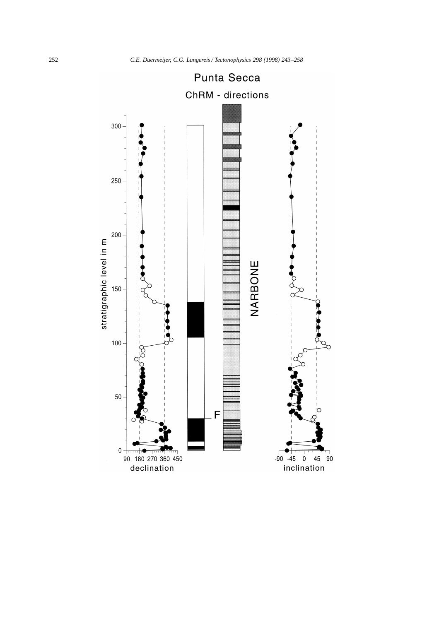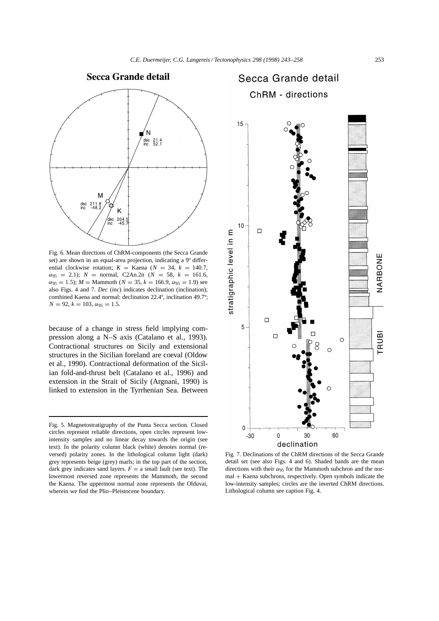



Fig. 6. Mean directions of ChRM-components (the Secca Grande set) are shown in an equal-area projection, indicating a 9º differential clockwise rotation;  $K =$  Kaena ( $N = 34$ ,  $k = 140.7$ ,  $\alpha_{95}$  = 2.1); *N* = normal, C2An.2n (*N* = 58, *k* = 161.6,  $\alpha_{95} = 1.5$ ; *M* = Mammoth (*N* = 35, *k* = 166.9,  $\alpha_{95} = 1.9$ ) see also Figs. 4 and 7. *Dec* (*inc*) indicates declination (inclination); combined Kaena and normal: declination 22.4º, inclination 49.7º;  $N = 92, k = 103, \alpha_{95} = 1.5.$ 

because of a change in stress field implying compression along a N–S axis (Catalano et al., 1993). Contractional structures on Sicily and extensional structures in the Sicilian foreland are coeval (Oldow et al., 1990). Contractional deformation of the Sicilian fold-and-thrust belt (Catalano et al., 1996) and extension in the Strait of Sicily (Argnani, 1990) is linked to extension in the Tyrrhenian Sea. Between

## Secca Grande detail **ChRM - directions**



Fig. 7. Declinations of the ChRM directions of the Secca Grande detail set (see also Figs. 4 and 6). Shaded bands are the mean directions with their  $\alpha_{95}$  for the Mammoth subchron and the nor $mal + Kaena subchrons, respectively. Open symbols indicate the$ low-intensity samples; circles are the inverted ChRM directions. Lithological column see caption Fig. 4.

Fig. 5. Magnetostratigraphy of the Punta Secca section. Closed circles represent reliable directions, open circles represent lowintensity samples and no linear decay towards the origin (see text). In the polarity column black (white) denotes normal (reversed) polarity zones. In the lithological column light (dark) grey represents beige (grey) marls; in the top part of the section, dark grey indicates sand layers.  $F = a$  small fault (see text). The lowermost reversed zone represents the Mammoth, the second the Kaena. The uppermost normal zone represents the Olduvai, wherein we find the Plio–Pleistocene boundary.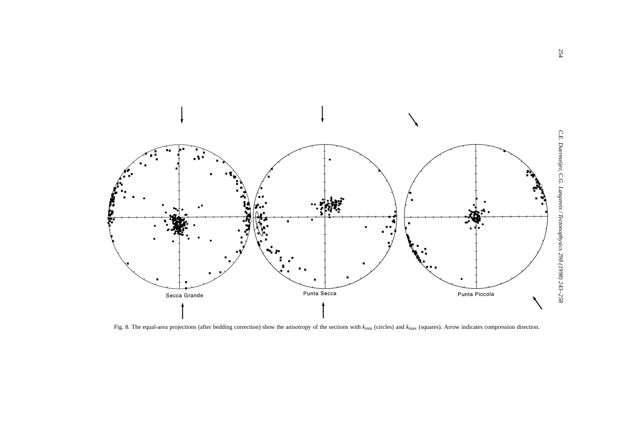

Fig. 8. The equal-area projections (after bedding correction) show the anisotropy of the sections with  $k_{\text{min}}$  (circles) and  $k_{\text{max}}$  (squares). Arrow indicates compression direction.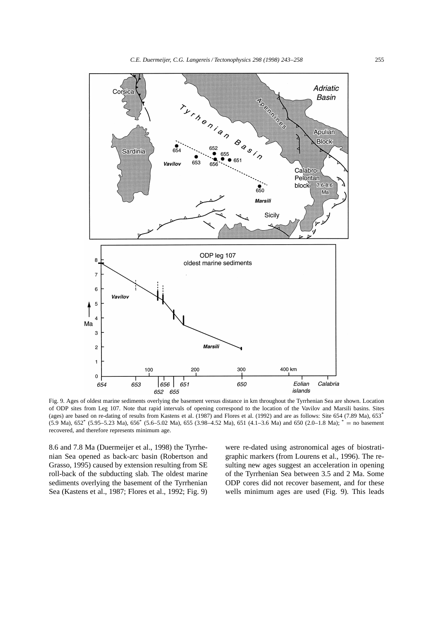

Fig. 9. Ages of oldest marine sediments overlying the basement versus distance in km throughout the Tyrrhenian Sea are shown. Location of ODP sites from Leg 107. Note that rapid intervals of opening correspond to the location of the Vavilov and Marsili basins. Sites (ages) are based on re-dating of results from Kastens et al. (1987) and Flores et al. (1992) and are as follows: Site 654 (7.89 Ma), 653\*  $(5.9 \text{ Ma})$ ,  $652^*$   $(5.95-5.23 \text{ Ma})$ ,  $656^*$   $(5.6-5.02 \text{ Ma})$ ,  $655$   $(3.98-4.52 \text{ Ma})$ ,  $651$   $(4.1-3.6 \text{ Ma})$  and  $650$   $(2.0-1.8 \text{ Ma})$ ;  $^*$  = no basement recovered, and therefore represents minimum age.

8.6 and 7.8 Ma (Duermeijer et al., 1998) the Tyrrhenian Sea opened as back-arc basin (Robertson and Grasso, 1995) caused by extension resulting from SE roll-back of the subducting slab. The oldest marine sediments overlying the basement of the Tyrrhenian Sea (Kastens et al., 1987; Flores et al., 1992; Fig. 9) were re-dated using astronomical ages of biostratigraphic markers (from Lourens et al., 1996). The resulting new ages suggest an acceleration in opening of the Tyrrhenian Sea between 3.5 and 2 Ma. Some ODP cores did not recover basement, and for these wells minimum ages are used (Fig. 9). This leads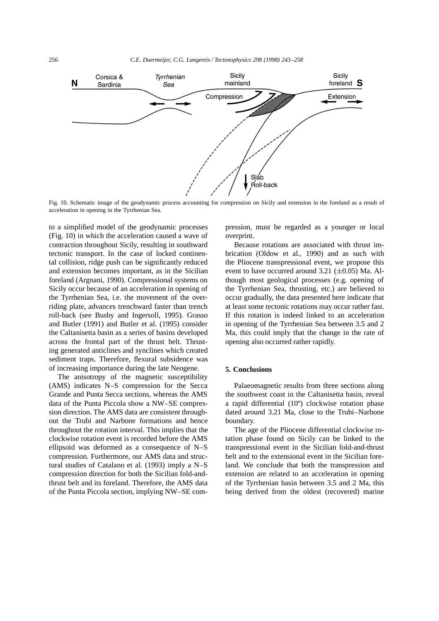

Fig. 10. Schematic image of the geodynamic process accounting for compression on Sicily and extension in the foreland as a result of acceleration in opening in the Tyrrhenian Sea.

to a simplified model of the geodynamic processes (Fig. 10) in which the acceleration caused a wave of contraction throughout Sicily, resulting in southward tectonic transport. In the case of locked continental collision, ridge push can be significantly reduced and extension becomes important, as in the Sicilian foreland (Argnani, 1990). Compressional systems on Sicily occur because of an acceleration in opening of the Tyrrhenian Sea, i.e. the movement of the overriding plate, advances trenchward faster than trench roll-back (see Busby and Ingersoll, 1995). Grasso and Butler (1991) and Butler et al. (1995) consider the Caltanisetta basin as a series of basins developed across the frontal part of the thrust belt. Thrusting generated anticlines and synclines which created sediment traps. Therefore, flexural subsidence was of increasing importance during the late Neogene.

The anisotropy of the magnetic susceptibility (AMS) indicates N–S compression for the Secca Grande and Punta Secca sections, whereas the AMS data of the Punta Piccola show a NW–SE compression direction. The AMS data are consistent throughout the Trubi and Narbone formations and hence throughout the rotation interval. This implies that the clockwise rotation event is recorded before the AMS ellipsoid was deformed as a consequence of N–S compression. Furthermore, our AMS data and structural studies of Catalano et al. (1993) imply a N–S compression direction for both the Sicilian fold-andthrust belt and its foreland. Therefore, the AMS data of the Punta Piccola section, implying NW–SE compression, must be regarded as a younger or local overprint.

Because rotations are associated with thrust imbrication (Oldow et al., 1990) and as such with the Pliocene transpressional event, we propose this event to have occurred around  $3.21$  ( $\pm 0.05$ ) Ma. Although most geological processes (e.g. opening of the Tyrrhenian Sea, thrusting, etc.) are believed to occur gradually, the data presented here indicate that at least some tectonic rotations may occur rather fast. If this rotation is indeed linked to an acceleration in opening of the Tyrrhenian Sea between 3.5 and 2 Ma, this could imply that the change in the rate of opening also occurred rather rapidly.

#### **5. Conclusions**

Palaeomagnetic results from three sections along the southwest coast in the Caltanisetta basin, reveal a rapid differential (10º) clockwise rotation phase dated around 3.21 Ma, close to the Trubi–Narbone boundary.

The age of the Pliocene differential clockwise rotation phase found on Sicily can be linked to the transpressional event in the Sicilian fold-and-thrust belt and to the extensional event in the Sicilian foreland. We conclude that both the transpression and extension are related to an acceleration in opening of the Tyrrhenian basin between 3.5 and 2 Ma, this being derived from the oldest (recovered) marine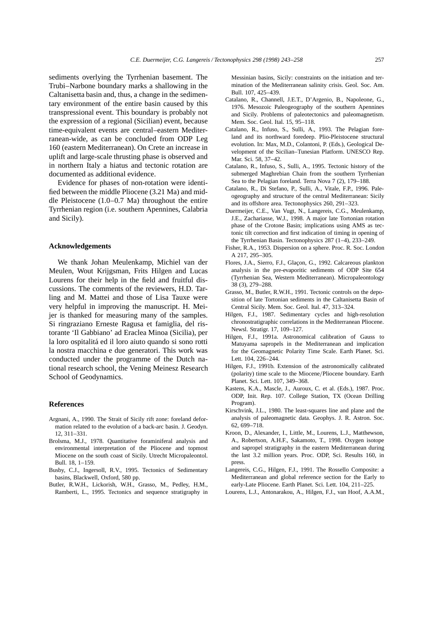sediments overlying the Tyrrhenian basement. The Trubi–Narbone boundary marks a shallowing in the Caltanisetta basin and, thus, a change in the sedimentary environment of the entire basin caused by this transpressional event. This boundary is probably not the expression of a regional (Sicilian) event, because time-equivalent events are central–eastern Mediterranean-wide, as can be concluded from ODP Leg 160 (eastern Mediterranean). On Crete an increase in uplift and large-scale thrusting phase is observed and in northern Italy a hiatus and tectonic rotation are documented as additional evidence.

Evidence for phases of non-rotation were identified between the middle Pliocene (3.21 Ma) and middle Pleistocene (1.0–0.7 Ma) throughout the entire Tyrrhenian region (i.e. southern Apennines, Calabria and Sicily).

#### **Acknowledgements**

We thank Johan Meulenkamp, Michiel van der Meulen, Wout Krijgsman, Frits Hilgen and Lucas Lourens for their help in the field and fruitful discussions. The comments of the reviewers, H.D. Tarling and M. Mattei and those of Lisa Tauxe were very helpful in improving the manuscript. H. Meijer is thanked for measuring many of the samples. Si ringraziano Erneste Ragusa et famiglia, del ristorante 'Il Gabbiano' ad Eraclea Minoa (Sicilia), per la loro ospitalitá ed il loro aiuto quando si sono rotti la nostra macchina e due generatori. This work was conducted under the programme of the Dutch national research school, the Vening Meinesz Research School of Geodynamics.

#### **References**

- Argnani, A., 1990. The Strait of Sicily rift zone: foreland deformation related to the evolution of a back-arc basin. J. Geodyn. 12, 311–331.
- Brolsma, M.J., 1978. Quantitative foraminiferal analysis and environmental interpretation of the Pliocene and topmost Miocene on the south coast of Sicily. Utrecht Micropaleontol. Bull. 18, 1–159.
- Busby, C.J., Ingersoll, R.V., 1995. Tectonics of Sedimentary basins, Blackwell, Oxford, 580 pp.
- Butler, R.W.H., Lickorish, W.H., Grasso, M., Pedley, H.M., Ramberti, L., 1995. Tectonics and sequence stratigraphy in

Messinian basins, Sicily: constraints on the initiation and termination of the Mediterranean salinity crisis. Geol. Soc. Am. Bull. 107, 425–439.

- Catalano, R., Channell, J.E.T., D'Argenio, B., Napoleone, G., 1976. Mesozoic Paleogeography of the southern Apennines and Sicily. Problems of paleotectonics and paleomagnetism. Mem. Soc. Geol. Ital. 15, 95–118.
- Catalano, R., Infuso, S., Sulli, A., 1993. The Pelagian foreland and its northward foredeep. Plio-Pleistocene structural evolution. In: Max, M.D., Colantoni, P. (Eds.), Geological Development of the Sicilian–Tunesian Platform. UNESCO Rep. Mar. Sci. 58, 37–42.
- Catalano, R., Infuso, S., Sulli, A., 1995. Tectonic history of the submerged Maghrebian Chain from the southern Tyrrhenian Sea to the Pelagian foreland. Terra Nova 7 (2), 179–188.
- Catalano, R., Di Stefano, P., Sulli, A., Vitale, F.P., 1996. Paleogeography and structure of the central Mediterranean: Sicily and its offshore area. Tectonophysics 260, 291–323.
- Duermeijer, C.E., Van Vugt, N., Langereis, C.G., Meulenkamp, J.E., Zachariasse, W.J., 1998. A major late Tortonian rotation phase of the Crotone Basin; implications using AMS as tectonic tilt correction and first indication of timing in opening of the Tyrrhenian Basin. Tectonophysics 287 (1–4), 233–249.
- Fisher, R.A., 1953. Dispersion on a sphere. Proc. R. Soc. London A 217, 295–305.
- Flores, J.A., Sierro, F.J., Glaçon, G., 1992. Calcareous plankton analysis in the pre-evaporitic sediments of ODP Site 654 (Tyrrhenian Sea, Western Mediterranean). Micropaleontology 38 (3), 279–288.
- Grasso, M., Butler, R.W.H., 1991. Tectonic controls on the deposition of late Tortonian sediments in the Caltanisetta Basin of Central Sicily. Mem. Soc. Geol. Ital. 47, 313–324.
- Hilgen, F.J., 1987. Sedimentary cycles and high-resolution chronostratigraphic correlations in the Mediterranean Pliocene. Newsl. Stratigr. 17, 109–127.
- Hilgen, F.J., 1991a. Astronomical calibration of Gauss to Matuyama sapropels in the Mediterranean and implication for the Geomagnetic Polarity Time Scale. Earth Planet. Sci. Lett. 104, 226–244.
- Hilgen, F.J., 1991b. Extension of the astronomically calibrated (polarity) time scale to the Miocene/Pliocene boundary. Earth Planet. Sci. Lett. 107, 349–368.
- Kastens, K.A., Mascle, J., Auroux, C. et al. (Eds.), 1987. Proc. ODP, Init. Rep. 107. College Station, TX (Ocean Drilling Program).
- Kirschvink, J.L., 1980. The least-squares line and plane and the analysis of paleomagnetic data. Geophys. J. R. Astron. Soc. 62, 699–718.
- Kroon, D., Alexander, I., Little, M., Lourens, L.J., Matthewson, A., Robertson, A.H.F., Sakamoto, T., 1998. Oxygen isotope and sapropel stratigraphy in the eastern Mediterranean during the last 3.2 million years. Proc. ODP, Sci. Results 160, in press.
- Langereis, C.G., Hilgen, F.J., 1991. The Rossello Composite: a Mediterranean and global reference section for the Early to early-Late Pliocene. Earth Planet. Sci. Lett. 104, 211–225.
- Lourens, L.J., Antonarakou, A., Hilgen, F.J., van Hoof, A.A.M.,